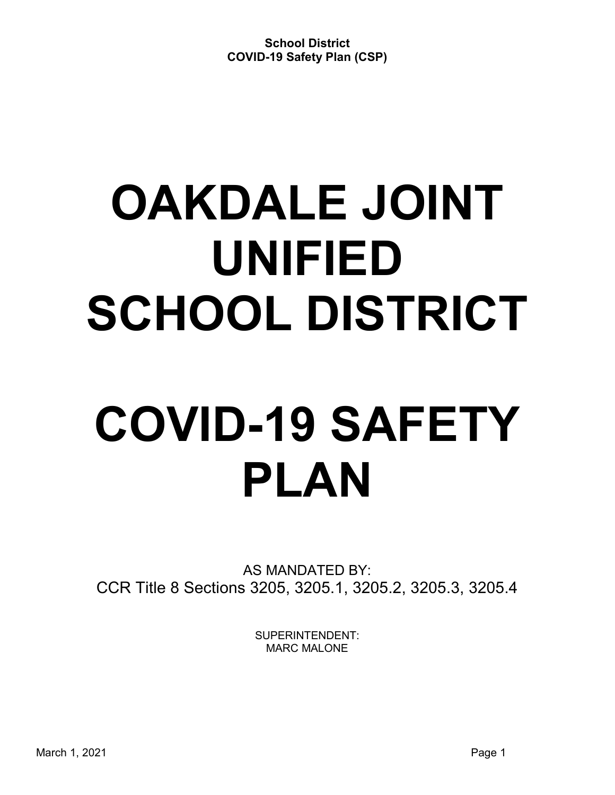# **OAKDALE JOINT UNIFIED SCHOOL DISTRICT**

# **COVID-19 SAFETY PLAN**

AS MANDATED BY: CCR Title 8 Sections 3205, 3205.1, 3205.2, 3205.3, 3205.4

> SUPERINTENDENT: MARC MALONE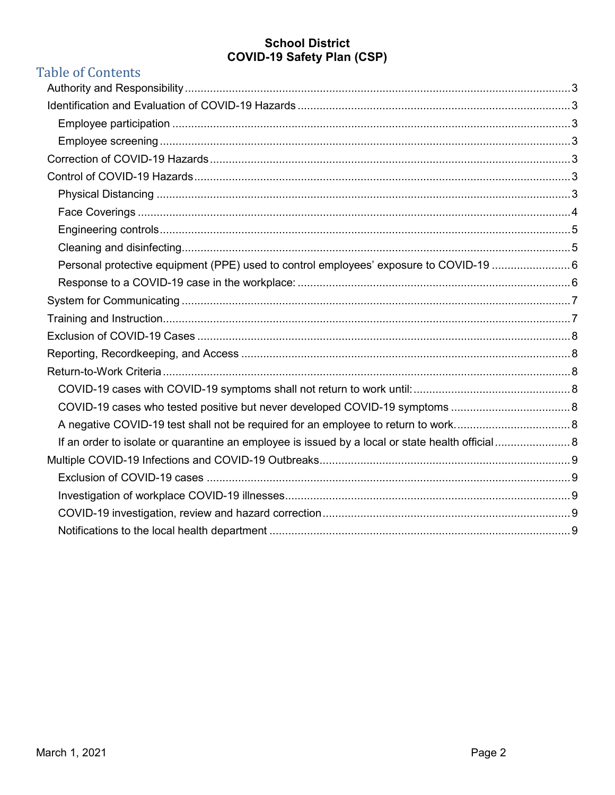# **Table of Contents**

| Personal protective equipment (PPE) used to control employees' exposure to COVID-19 6 |  |
|---------------------------------------------------------------------------------------|--|
|                                                                                       |  |
|                                                                                       |  |
|                                                                                       |  |
|                                                                                       |  |
|                                                                                       |  |
|                                                                                       |  |
|                                                                                       |  |
|                                                                                       |  |
|                                                                                       |  |
|                                                                                       |  |
|                                                                                       |  |
|                                                                                       |  |
|                                                                                       |  |
|                                                                                       |  |
|                                                                                       |  |
|                                                                                       |  |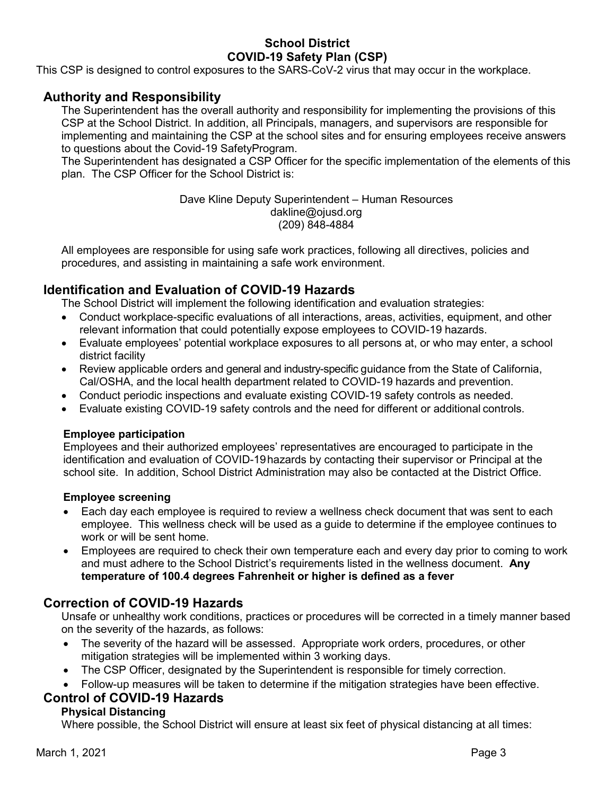This CSP is designed to control exposures to the SARS-CoV-2 virus that may occur in the workplace.

## **Authority and Responsibility**

The Superintendent has the overall authority and responsibility for implementing the provisions of this CSP at the School District. In addition, all Principals, managers, and supervisors are responsible for implementing and maintaining the CSP at the school sites and for ensuring employees receive answers to questions about the Covid-19 SafetyProgram.

The Superintendent has designated a CSP Officer for the specific implementation of the elements of this plan. The CSP Officer for the School District is:

> Dave Kline Deputy Superintendent – Human Resources dakline@ojusd.org (209) 848-4884

All employees are responsible for using safe work practices, following all directives, policies and procedures, and assisting in maintaining a safe work environment.

## **Identification and Evaluation of COVID-19 Hazards**

The School District will implement the following identification and evaluation strategies:

- Conduct workplace-specific evaluations of all interactions, areas, activities, equipment, and other relevant information that could potentially expose employees to COVID-19 hazards.
- Evaluate employees' potential workplace exposures to all persons at, or who may enter, a school district facility
- Review applicable orders and general and industry-specific guidance from the State of California, Cal/OSHA, and the local health department related to COVID-19 hazards and prevention.
- Conduct periodic inspections and evaluate existing COVID-19 safety controls as needed.
- Evaluate existing COVID-19 safety controls and the need for different or additional controls.

#### **Employee participation**

Employees and their authorized employees' representatives are encouraged to participate in the identification and evaluation of COVID-19hazards by contacting their supervisor or Principal at the school site. In addition, School District Administration may also be contacted at the District Office.

#### **Employee screening**

- Each day each employee is required to review a wellness check document that was sent to each employee. This wellness check will be used as a guide to determine if the employee continues to work or will be sent home.
- Employees are required to check their own temperature each and every day prior to coming to work and must adhere to the School District's requirements listed in the wellness document. **Any temperature of 100.4 degrees Fahrenheit or higher is defined as a fever**

# **Correction of COVID-19 Hazards**

Unsafe or unhealthy work conditions, practices or procedures will be corrected in a timely manner based on the severity of the hazards, as follows:

- The severity of the hazard will be assessed. Appropriate work orders, procedures, or other mitigation strategies will be implemented within 3 working days.
- The CSP Officer, designated by the Superintendent is responsible for timely correction.
- Follow-up measures will be taken to determine if the mitigation strategies have been effective.

## **Control of COVID-19 Hazards**

#### **Physical Distancing**

Where possible, the School District will ensure at least six feet of physical distancing at all times: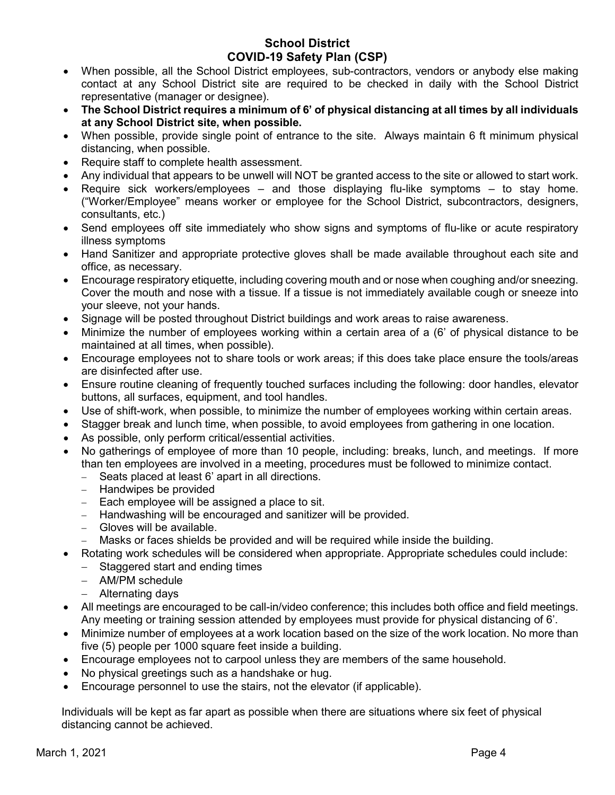- When possible, all the School District employees, sub-contractors, vendors or anybody else making contact at any School District site are required to be checked in daily with the School District representative (manager or designee).
- **The School District requires a minimum of 6' of physical distancing at all times by all individuals at any School District site, when possible.**
- When possible, provide single point of entrance to the site. Always maintain 6 ft minimum physical distancing, when possible.
- Require staff to complete health assessment.
- Any individual that appears to be unwell will NOT be granted access to the site or allowed to start work.
- Require sick workers/employees and those displaying flu-like symptoms to stay home. ("Worker/Employee" means worker or employee for the School District, subcontractors, designers, consultants, etc.)
- Send employees off site immediately who show signs and symptoms of flu-like or acute respiratory illness symptoms
- Hand Sanitizer and appropriate protective gloves shall be made available throughout each site and office, as necessary.
- Encourage respiratory etiquette, including covering mouth and or nose when coughing and/or sneezing. Cover the mouth and nose with a tissue. If a tissue is not immediately available cough or sneeze into your sleeve, not your hands.
- Signage will be posted throughout District buildings and work areas to raise awareness.
- Minimize the number of employees working within a certain area of a (6' of physical distance to be maintained at all times, when possible).
- Encourage employees not to share tools or work areas; if this does take place ensure the tools/areas are disinfected after use.
- Ensure routine cleaning of frequently touched surfaces including the following: door handles, elevator buttons, all surfaces, equipment, and tool handles.
- Use of shift-work, when possible, to minimize the number of employees working within certain areas.
- Stagger break and lunch time, when possible, to avoid employees from gathering in one location.
- As possible, only perform critical/essential activities.
- No gatherings of employee of more than 10 people, including: breaks, lunch, and meetings. If more than ten employees are involved in a meeting, procedures must be followed to minimize contact.
	- Seats placed at least 6' apart in all directions.
	- − Handwipes be provided
	- − Each employee will be assigned a place to sit.
	- − Handwashing will be encouraged and sanitizer will be provided.
	- − Gloves will be available.
	- − Masks or faces shields be provided and will be required while inside the building.
- Rotating work schedules will be considered when appropriate. Appropriate schedules could include:
	- − Staggered start and ending times
	- − AM/PM schedule
	- − Alternating days
- All meetings are encouraged to be call-in/video conference; this includes both office and field meetings. Any meeting or training session attended by employees must provide for physical distancing of 6'.
- Minimize number of employees at a work location based on the size of the work location. No more than five (5) people per 1000 square feet inside a building.
- Encourage employees not to carpool unless they are members of the same household.
- No physical greetings such as a handshake or hug.
- Encourage personnel to use the stairs, not the elevator (if applicable).

Individuals will be kept as far apart as possible when there are situations where six feet of physical distancing cannot be achieved.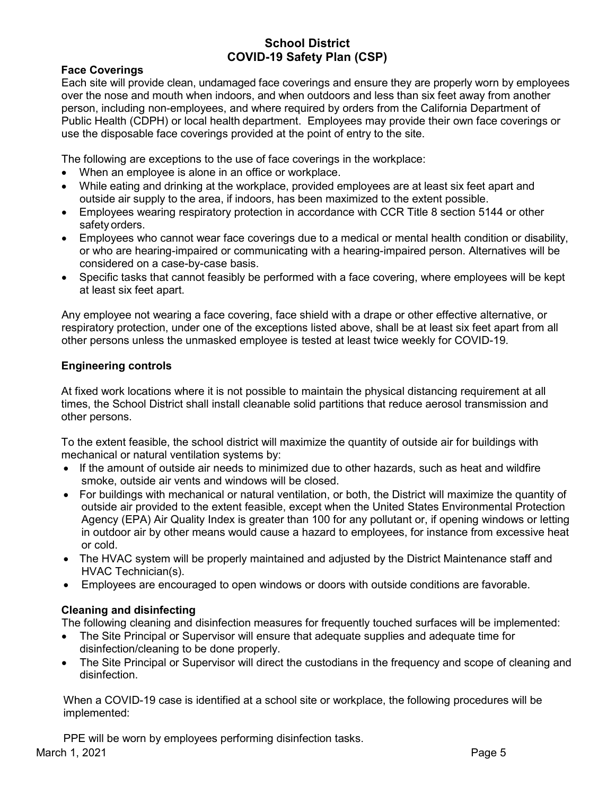#### **Face Coverings**

Each site will provide clean, undamaged face coverings and ensure they are properly worn by employees over the nose and mouth when indoors, and when outdoors and less than six feet away from another person, including non-employees, and where required by orders from the California Department of Public Health (CDPH) or local health department. Employees may provide their own face coverings or use the disposable face coverings provided at the point of entry to the site.

The following are exceptions to the use of face coverings in the workplace:

- When an employee is alone in an office or workplace.
- While eating and drinking at the workplace, provided employees are at least six feet apart and outside air supply to the area, if indoors, has been maximized to the extent possible.
- Employees wearing respiratory protection in accordance with CCR Title 8 section 5144 or other safety orders.
- Employees who cannot wear face coverings due to a medical or mental health condition or disability, or who are hearing-impaired or communicating with a hearing-impaired person. Alternatives will be considered on a case-by-case basis.
- Specific tasks that cannot feasibly be performed with a face covering, where employees will be kept at least six feet apart.

Any employee not wearing a face covering, face shield with a drape or other effective alternative, or respiratory protection, under one of the exceptions listed above, shall be at least six feet apart from all other persons unless the unmasked employee is tested at least twice weekly for COVID-19.

#### **Engineering controls**

At fixed work locations where it is not possible to maintain the physical distancing requirement at all times, the School District shall install cleanable solid partitions that reduce aerosol transmission and other persons.

To the extent feasible, the school district will maximize the quantity of outside air for buildings with mechanical or natural ventilation systems by:

- If the amount of outside air needs to minimized due to other hazards, such as heat and wildfire smoke, outside air vents and windows will be closed.
- For buildings with mechanical or natural ventilation, or both, the District will maximize the quantity of outside air provided to the extent feasible, except when the United States Environmental Protection Agency (EPA) Air Quality Index is greater than 100 for any pollutant or, if opening windows or letting in outdoor air by other means would cause a hazard to employees, for instance from excessive heat or cold.
- The HVAC system will be properly maintained and adjusted by the District Maintenance staff and HVAC Technician(s).
- Employees are encouraged to open windows or doors with outside conditions are favorable.

#### **Cleaning and disinfecting**

The following cleaning and disinfection measures for frequently touched surfaces will be implemented:

- The Site Principal or Supervisor will ensure that adequate supplies and adequate time for disinfection/cleaning to be done properly.
- The Site Principal or Supervisor will direct the custodians in the frequency and scope of cleaning and disinfection.

When a COVID-19 case is identified at a school site or workplace, the following procedures will be implemented:

March 1, 2021 **Page 5** PPE will be worn by employees performing disinfection tasks.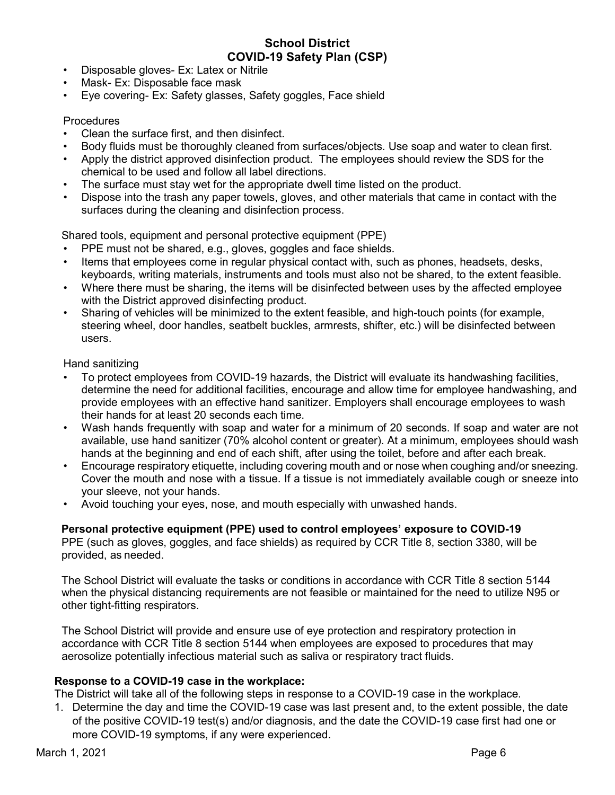- Disposable gloves- Ex: Latex or Nitrile
- Mask- Ex: Disposable face mask
- Eye covering- Ex: Safety glasses, Safety goggles, Face shield

#### **Procedures**

- Clean the surface first, and then disinfect.
- Body fluids must be thoroughly cleaned from surfaces/objects. Use soap and water to clean first.
- Apply the district approved disinfection product. The employees should review the SDS for the chemical to be used and follow all label directions.
- The surface must stay wet for the appropriate dwell time listed on the product.
- Dispose into the trash any paper towels, gloves, and other materials that came in contact with the surfaces during the cleaning and disinfection process.

Shared tools, equipment and personal protective equipment (PPE)

- PPE must not be shared, e.g., gloves, goggles and face shields.
- Items that employees come in regular physical contact with, such as phones, headsets, desks, keyboards, writing materials, instruments and tools must also not be shared, to the extent feasible.
- Where there must be sharing, the items will be disinfected between uses by the affected employee with the District approved disinfecting product.
- Sharing of vehicles will be minimized to the extent feasible, and high-touch points (for example, steering wheel, door handles, seatbelt buckles, armrests, shifter, etc.) will be disinfected between users.

Hand sanitizing

- To protect employees from COVID-19 hazards, the District will evaluate its handwashing facilities, determine the need for additional facilities, encourage and allow time for employee handwashing, and provide employees with an effective hand sanitizer. Employers shall encourage employees to wash their hands for at least 20 seconds each time.
- Wash hands frequently with soap and water for a minimum of 20 seconds. If soap and water are not available, use hand sanitizer (70% alcohol content or greater). At a minimum, employees should wash hands at the beginning and end of each shift, after using the toilet, before and after each break.
- Encourage respiratory etiquette, including covering mouth and or nose when coughing and/or sneezing. Cover the mouth and nose with a tissue. If a tissue is not immediately available cough or sneeze into your sleeve, not your hands.
- Avoid touching your eyes, nose, and mouth especially with unwashed hands.

#### **Personal protective equipment (PPE) used to control employees' exposure to COVID-19**

PPE (such as gloves, goggles, and face shields) as required by CCR Title 8, section 3380, will be provided, as needed.

The School District will evaluate the tasks or conditions in accordance with CCR Title 8 section 5144 when the physical distancing requirements are not feasible or maintained for the need to utilize N95 or other tight-fitting respirators.

The School District will provide and ensure use of eye protection and respiratory protection in accordance with CCR Title 8 section 5144 when employees are exposed to procedures that may aerosolize potentially infectious material such as saliva or respiratory tract fluids.

#### **Response to a COVID-19 case in the workplace:**

The District will take all of the following steps in response to a COVID-19 case in the workplace.

1. Determine the day and time the COVID-19 case was last present and, to the extent possible, the date of the positive COVID-19 test(s) and/or diagnosis, and the date the COVID-19 case first had one or more COVID-19 symptoms, if any were experienced.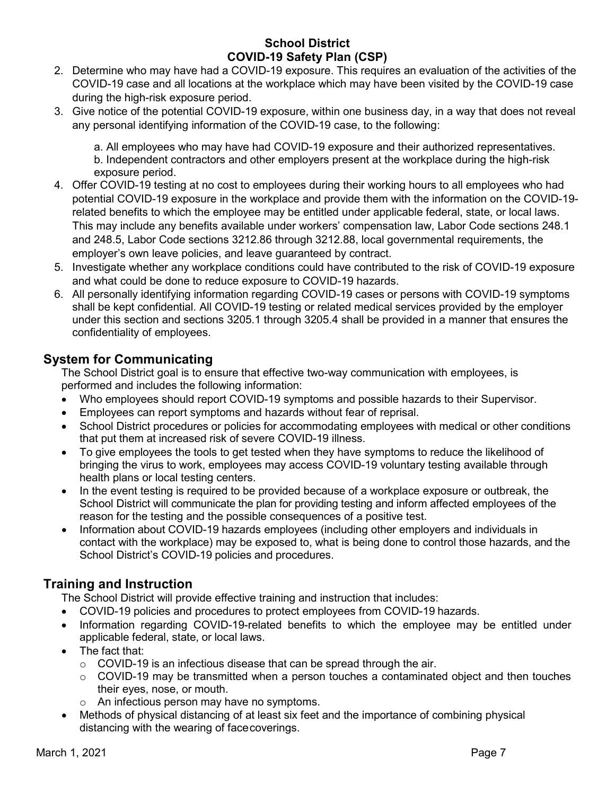- 2. Determine who may have had a COVID-19 exposure. This requires an evaluation of the activities of the COVID-19 case and all locations at the workplace which may have been visited by the COVID-19 case during the high-risk exposure period.
- 3. Give notice of the potential COVID-19 exposure, within one business day, in a way that does not reveal any personal identifying information of the COVID-19 case, to the following:

a. All employees who may have had COVID-19 exposure and their authorized representatives. b. Independent contractors and other employers present at the workplace during the high-risk exposure period.

- 4. Offer COVID-19 testing at no cost to employees during their working hours to all employees who had potential COVID-19 exposure in the workplace and provide them with the information on the COVID-19 related benefits to which the employee may be entitled under applicable federal, state, or local laws. This may include any benefits available under workers' compensation law, Labor Code sections 248.1 and 248.5, Labor Code sections 3212.86 through 3212.88, local governmental requirements, the employer's own leave policies, and leave guaranteed by contract.
- 5. Investigate whether any workplace conditions could have contributed to the risk of COVID-19 exposure and what could be done to reduce exposure to COVID-19 hazards.
- 6. All personally identifying information regarding COVID-19 cases or persons with COVID-19 symptoms shall be kept confidential. All COVID-19 testing or related medical services provided by the employer under this section and sections 3205.1 through 3205.4 shall be provided in a manner that ensures the confidentiality of employees.

## **System for Communicating**

The School District goal is to ensure that effective two-way communication with employees, is performed and includes the following information:

- Who employees should report COVID-19 symptoms and possible hazards to their Supervisor.
- Employees can report symptoms and hazards without fear of reprisal.
- School District procedures or policies for accommodating employees with medical or other conditions that put them at increased risk of severe COVID-19 illness.
- To give employees the tools to get tested when they have symptoms to reduce the likelihood of bringing the virus to work, employees may access COVID-19 voluntary testing available through health plans or local testing centers.
- In the event testing is required to be provided because of a workplace exposure or outbreak, the School District will communicate the plan for providing testing and inform affected employees of the reason for the testing and the possible consequences of a positive test.
- Information about COVID-19 hazards employees (including other employers and individuals in contact with the workplace) may be exposed to, what is being done to control those hazards, and the School District's COVID-19 policies and procedures.

# **Training and Instruction**

The School District will provide effective training and instruction that includes:

- COVID-19 policies and procedures to protect employees from COVID-19 hazards.
- Information regarding COVID-19-related benefits to which the employee may be entitled under applicable federal, state, or local laws.
- The fact that:
	- $\circ$  COVID-19 is an infectious disease that can be spread through the air.
	- $\circ$  COVID-19 may be transmitted when a person touches a contaminated object and then touches their eyes, nose, or mouth.
	- o An infectious person may have no symptoms.
- Methods of physical distancing of at least six feet and the importance of combining physical distancing with the wearing of facecoverings.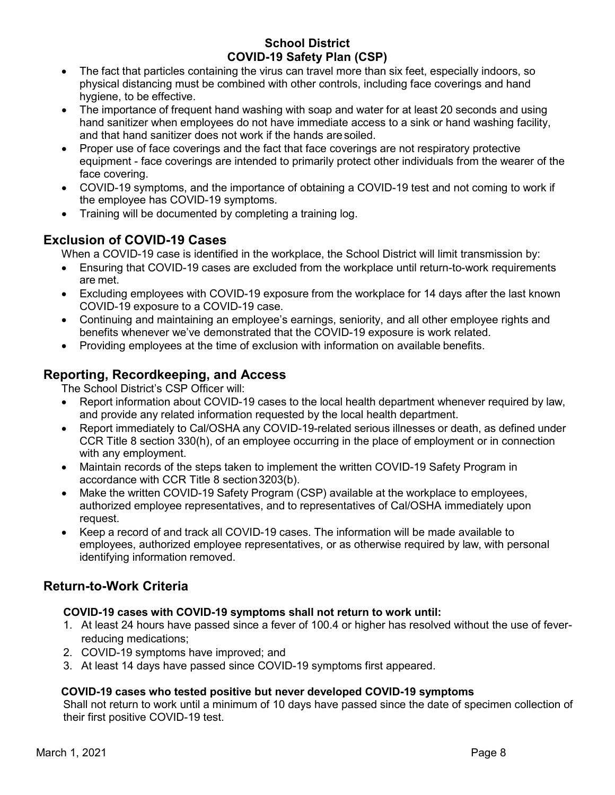- The fact that particles containing the virus can travel more than six feet, especially indoors, so physical distancing must be combined with other controls, including face coverings and hand hygiene, to be effective.
- The importance of frequent hand washing with soap and water for at least 20 seconds and using hand sanitizer when employees do not have immediate access to a sink or hand washing facility, and that hand sanitizer does not work if the hands aresoiled.
- Proper use of face coverings and the fact that face coverings are not respiratory protective equipment - face coverings are intended to primarily protect other individuals from the wearer of the face covering.
- COVID-19 symptoms, and the importance of obtaining a COVID-19 test and not coming to work if the employee has COVID-19 symptoms.
- Training will be documented by completing a training log.

# **Exclusion of COVID-19 Cases**

When a COVID-19 case is identified in the workplace, the School District will limit transmission by:

- Ensuring that COVID-19 cases are excluded from the workplace until return-to-work requirements are met.
- Excluding employees with COVID-19 exposure from the workplace for 14 days after the last known COVID-19 exposure to a COVID-19 case.
- Continuing and maintaining an employee's earnings, seniority, and all other employee rights and benefits whenever we've demonstrated that the COVID-19 exposure is work related.
- Providing employees at the time of exclusion with information on available benefits.

# **Reporting, Recordkeeping, and Access**

The School District's CSP Officer will:

- Report information about COVID-19 cases to the local health department whenever required by law, and provide any related information requested by the local health department.
- Report immediately to Cal/OSHA any COVID-19-related serious illnesses or death, as defined under CCR Title 8 section 330(h), of an employee occurring in the place of employment or in connection with any employment.
- Maintain records of the steps taken to implement the written COVID-19 Safety Program in accordance with CCR Title 8 section3203(b).
- Make the written COVID-19 Safety Program (CSP) available at the workplace to employees, authorized employee representatives, and to representatives of Cal/OSHA immediately upon request.
- Keep a record of and track all COVID-19 cases. The information will be made available to employees, authorized employee representatives, or as otherwise required by law, with personal identifying information removed.

# **Return-to-Work Criteria**

#### **COVID-19 cases with COVID-19 symptoms shall not return to work until:**

- 1. At least 24 hours have passed since a fever of 100.4 or higher has resolved without the use of feverreducing medications;
- 2. COVID-19 symptoms have improved; and
- 3. At least 14 days have passed since COVID-19 symptoms first appeared.

#### **COVID-19 cases who tested positive but never developed COVID-19 symptoms**

Shall not return to work until a minimum of 10 days have passed since the date of specimen collection of their first positive COVID-19 test.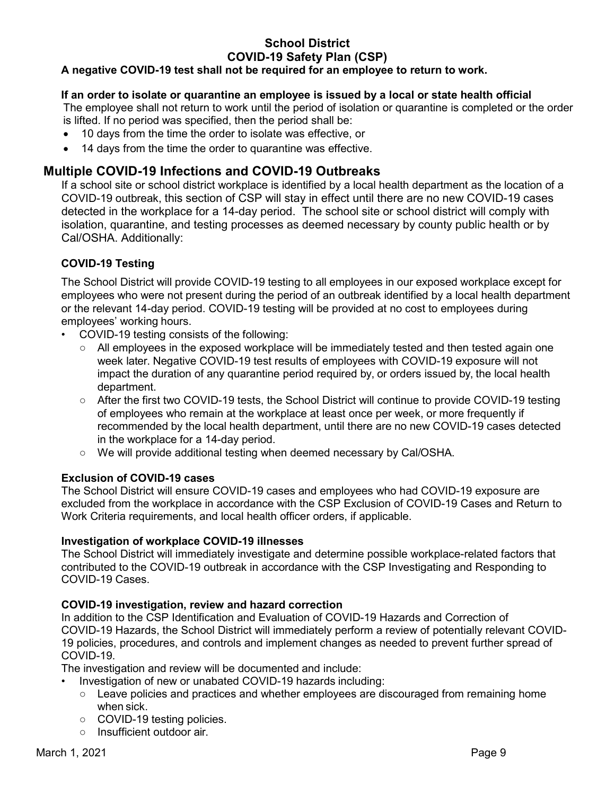#### **A negative COVID-19 test shall not be required for an employee to return to work.**

#### **If an order to isolate or quarantine an employee is issued by a local or state health official**

The employee shall not return to work until the period of isolation or quarantine is completed or the order is lifted. If no period was specified, then the period shall be:

- 10 days from the time the order to isolate was effective, or
- 14 days from the time the order to quarantine was effective.

## **Multiple COVID-19 Infections and COVID-19 Outbreaks**

If a school site or school district workplace is identified by a local health department as the location of a COVID-19 outbreak, this section of CSP will stay in effect until there are no new COVID-19 cases detected in the workplace for a 14-day period. The school site or school district will comply with isolation, quarantine, and testing processes as deemed necessary by county public health or by Cal/OSHA. Additionally:

## **COVID-19 Testing**

The School District will provide COVID-19 testing to all employees in our exposed workplace except for employees who were not present during the period of an outbreak identified by a local health department or the relevant 14-day period. COVID-19 testing will be provided at no cost to employees during employees' working hours.

- COVID-19 testing consists of the following:
	- All employees in the exposed workplace will be immediately tested and then tested again one week later. Negative COVID-19 test results of employees with COVID-19 exposure will not impact the duration of any quarantine period required by, or orders issued by, the local health department.
	- After the first two COVID-19 tests, the School District will continue to provide COVID-19 testing of employees who remain at the workplace at least once per week, or more frequently if recommended by the local health department, until there are no new COVID-19 cases detected in the workplace for a 14-day period.
	- We will provide additional testing when deemed necessary by Cal/OSHA.

#### **Exclusion of COVID-19 cases**

The School District will ensure COVID-19 cases and employees who had COVID-19 exposure are excluded from the workplace in accordance with the CSP Exclusion of COVID-19 Cases and Return to Work Criteria requirements, and local health officer orders, if applicable.

#### **Investigation of workplace COVID-19 illnesses**

The School District will immediately investigate and determine possible workplace-related factors that contributed to the COVID-19 outbreak in accordance with the CSP Investigating and Responding to COVID-19 Cases.

#### **COVID-19 investigation, review and hazard correction**

In addition to the CSP Identification and Evaluation of COVID-19 Hazards and Correction of COVID-19 Hazards, the School District will immediately perform a review of potentially relevant COVID-19 policies, procedures, and controls and implement changes as needed to prevent further spread of COVID-19.

The investigation and review will be documented and include:

- Investigation of new or unabated COVID-19 hazards including:
	- Leave policies and practices and whether employees are discouraged from remaining home when sick.
	- COVID-19 testing policies.
	- Insufficient outdoor air.